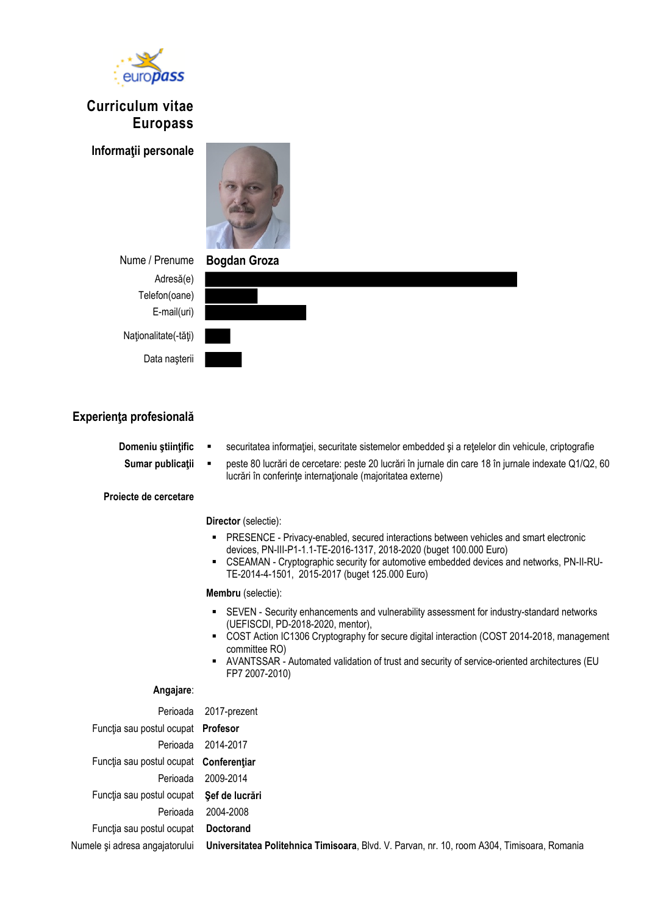

# **Curriculum vitae Europass**

**Informaţii personale**



**Nume / Prenume** Adresă(e) Telefon(oane) E-mail(uri) Naţionalitate(-tăţi)

Data naşterii

| <b>Bogdan Groza</b> |  |  |
|---------------------|--|--|
|                     |  |  |
|                     |  |  |
|                     |  |  |
|                     |  |  |
|                     |  |  |

# **Experienţa profesională**

- **Domeniu științific**  $\blacksquare$  securitatea informației, securitate sistemelor embedded și a rețelelor din vehicule, criptografie **Sumar publicaţii** peste 80 lucrări de cercetare: peste 20 lucrări în jurnale din care 18 în jurnale indexate Q1/Q2, 60 lucrări în conferinţe internaţionale (majoritatea externe)
- **Proiecte de cercetare**

## **Director** (selectie):

- PRESENCE Privacy-enabled, secured interactions between vehicles and smart electronic devices, PN-III-P1-1.1-TE-2016-1317, 2018-2020 (buget 100.000 Euro)
- CSEAMAN Cryptographic security for automotive embedded devices and networks, PN-II-RU-TE-2014-4-1501, 2015-2017 (buget 125.000 Euro)

#### **Membru** (selectie):

- SEVEN Security enhancements and vulnerability assessment for industry-standard networks (UEFISCDI, PD-2018-2020, mentor),
- COST Action IC1306 Cryptography for secure digital interaction (COST 2014-2018, management committee RO)
- AVANTSSAR Automated validation of trust and security of service-oriented architectures (EU FP7 2007-2010)

## **Angajare**:

| Perioada                               | 2017-prezent                                                                                |
|----------------------------------------|---------------------------------------------------------------------------------------------|
| Funcția sau postul ocupat Profesor     |                                                                                             |
| Perioada                               | 2014-2017                                                                                   |
| Functia sau postul ocupat Conferentiar |                                                                                             |
| Perioada                               | 2009-2014                                                                                   |
| Funcția sau postul ocupat              | Sef de lucrări                                                                              |
| Perioada                               | 2004-2008                                                                                   |
| Functia sau postul ocupat              | <b>Doctorand</b>                                                                            |
| Numele și adresa angajatorului         | Universitatea Politehnica Timisoara, Blvd. V. Parvan, nr. 10, room A304, Timisoara, Romania |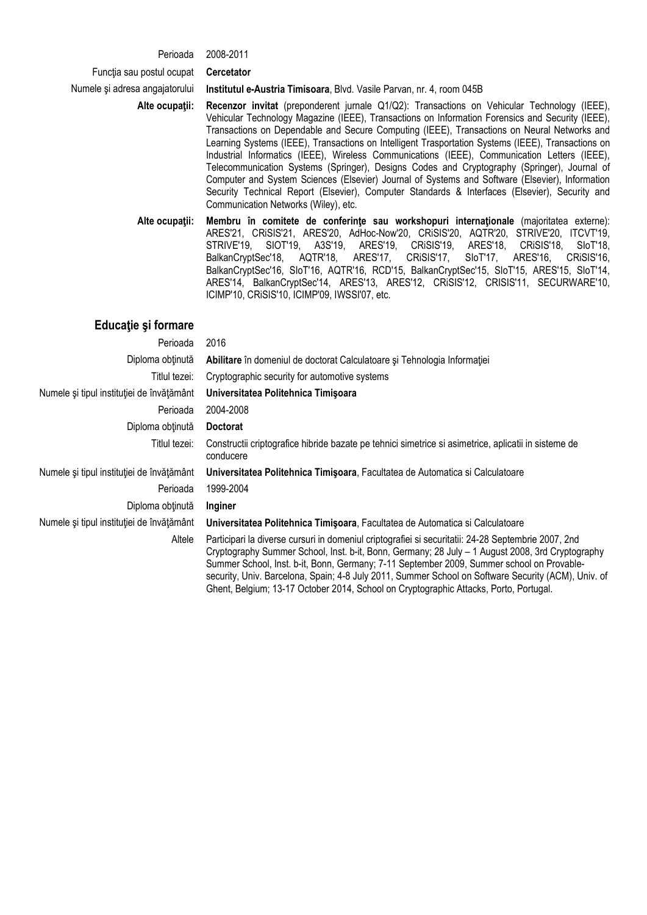#### Perioada 2008-2011

Funcţia sau postul ocupat **Cercetator**

Numele şi adresa angajatorului **Institutul e-Austria Timisoara**, Blvd. Vasile Parvan, nr. 4, room 045B

**Alte ocupaţii: Recenzor invitat** (preponderent jurnale Q1/Q2): Transactions on Vehicular Technology (IEEE), Vehicular Technology Magazine (IEEE), Transactions on Information Forensics and Security (IEEE), Transactions on Dependable and Secure Computing (IEEE), Transactions on Neural Networks and Learning Systems (IEEE), Transactions on Intelligent Trasportation Systems (IEEE), Transactions on Industrial Informatics (IEEE), Wireless Communications (IEEE), Communication Letters (IEEE), Telecommunication Systems (Springer), Designs Codes and Cryptography (Springer), Journal of Computer and System Sciences (Elsevier) Journal of Systems and Software (Elsevier), Information Security Technical Report (Elsevier), Computer Standards & Interfaces (Elsevier), Security and Communication Networks (Wiley), etc.

**Alte ocupaţii: Membru în comitete de conferinţe sau workshopuri internaţionale** (majoritatea externe): ARES'21, CRiSIS'21, ARES'20, AdHoc-Now'20, CRiSIS'20, AQTR'20, STRIVE'20, ITCVT'19, STRIVE'19, SIOT'19, A3S'19, ARES'19, CRiSIS'19, ARES'18, CRiSIS'18, SIoT'18, BalkanCryptSec'18, AQTR'18, ARES'17, CRISIS'17, BalkanCryptSec'16, SIoT'16, AQTR'16, RCD'15, BalkanCryptSec'15, SIoT'15, ARES'15, SIoT'14, ARES'14, BalkanCryptSec'14, ARES'13, ARES'12, CRiSIS'12, CRISIS'11, SECURWARE'10, ICIMP'10, CRiSIS'10, ICIMP'09, IWSSI'07, etc.

## **Educaţie şi formare**

| Perioada                                  | 2016                                                                                                                                                                                                                                                                                                                                                                                                                                                                                                 |
|-------------------------------------------|------------------------------------------------------------------------------------------------------------------------------------------------------------------------------------------------------------------------------------------------------------------------------------------------------------------------------------------------------------------------------------------------------------------------------------------------------------------------------------------------------|
| Diploma obținută                          | Abilitare în domeniul de doctorat Calculatoare și Tehnologia Informației                                                                                                                                                                                                                                                                                                                                                                                                                             |
| Titlul tezei:                             | Cryptographic security for automotive systems                                                                                                                                                                                                                                                                                                                                                                                                                                                        |
| Numele și tipul instituției de învățământ | Universitatea Politehnica Timişoara                                                                                                                                                                                                                                                                                                                                                                                                                                                                  |
| Perioada                                  | 2004-2008                                                                                                                                                                                                                                                                                                                                                                                                                                                                                            |
| Diploma obținută                          | <b>Doctorat</b>                                                                                                                                                                                                                                                                                                                                                                                                                                                                                      |
| Titlul tezei:                             | Constructii criptografice hibride bazate pe tehnici simetrice si asimetrice, aplicatii in sisteme de<br>conducere                                                                                                                                                                                                                                                                                                                                                                                    |
| Numele și tipul instituției de învățământ | Universitatea Politehnica Timișoara, Facultatea de Automatica și Calculatoare                                                                                                                                                                                                                                                                                                                                                                                                                        |
| Perioada                                  | 1999-2004                                                                                                                                                                                                                                                                                                                                                                                                                                                                                            |
| Diploma obținută                          | Inginer                                                                                                                                                                                                                                                                                                                                                                                                                                                                                              |
| Numele și tipul instituției de învățământ | Universitatea Politehnica Timișoara, Facultatea de Automatica și Calculatoare                                                                                                                                                                                                                                                                                                                                                                                                                        |
| Altele                                    | Participari la diverse cursuri in domeniul criptografiei si securitatii: 24-28 Septembrie 2007, 2nd<br>Cryptography Summer School, Inst. b-it, Bonn, Germany; 28 July - 1 August 2008, 3rd Cryptography<br>Summer School, Inst. b-it, Bonn, Germany; 7-11 September 2009, Summer school on Provable-<br>security, Univ. Barcelona, Spain; 4-8 July 2011, Summer School on Software Security (ACM), Univ. of<br>Ghent, Belgium; 13-17 October 2014, School on Cryptographic Attacks, Porto, Portugal. |